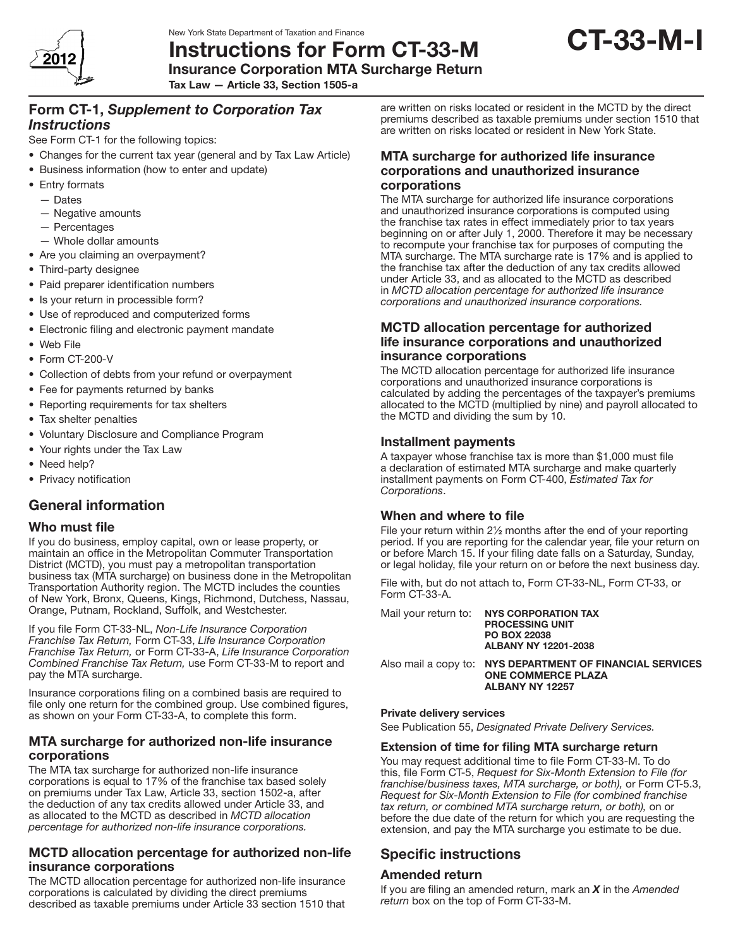

Instructions for Form CT-33-M Insurance Corporation MTA Surcharge Return

Tax Law — Article 33, Section 1505-a

# Form CT-1, *Supplement to Corporation Tax Instructions*

See Form CT-1 for the following topics:

- Changes for the current tax year (general and by Tax Law Article)
- Business information (how to enter and update)
- Entry formats
	- Dates
	- Negative amounts
	- Percentages
	- Whole dollar amounts
- Are you claiming an overpayment?
- Third-party designee
- Paid preparer identification numbers
- Is your return in processible form?
- Use of reproduced and computerized forms
- Electronic filing and electronic payment mandate
- • Web File
- Form CT-200-V
- Collection of debts from your refund or overpayment
- Fee for payments returned by banks
- Reporting requirements for tax shelters
- Tax shelter penalties
- • Voluntary Disclosure and Compliance Program
- Your rights under the Tax Law
- Need help?
- Privacy notification

# General information

### Who must file

If you do business, employ capital, own or lease property, or maintain an office in the Metropolitan Commuter Transportation District (MCTD), you must pay a metropolitan transportation business tax (MTA surcharge) on business done in the Metropolitan Transportation Authority region. The MCTD includes the counties of New York, Bronx, Queens, Kings, Richmond, Dutchess, Nassau, Orange, Putnam, Rockland, Suffolk, and Westchester.

If you file Form CT‑33‑NL, *Non-Life Insurance Corporation Franchise Tax Return,* Form CT-33, *Life Insurance Corporation Franchise Tax Return,* or Form CT-33-A, *Life Insurance Corporation Combined Franchise Tax Return,* use Form CT-33-M to report and pay the MTA surcharge.

Insurance corporations filing on a combined basis are required to file only one return for the combined group. Use combined figures, as shown on your Form CT-33-A, to complete this form.

### MTA surcharge for authorized non-life insurance corporations

The MTA tax surcharge for authorized non-life insurance corporations is equal to 17% of the franchise tax based solely on premiums under Tax Law, Article 33, section 1502‑a, after the deduction of any tax credits allowed under Article 33, and as allocated to the MCTD as described in *MCTD allocation percentage for authorized non-life insurance corporations.*

# MCTD allocation percentage for authorized non-life insurance corporations

The MCTD allocation percentage for authorized non-life insurance corporations is calculated by dividing the direct premiums described as taxable premiums under Article 33 section 1510 that are written on risks located or resident in the MCTD by the direct premiums described as taxable premiums under section 1510 that are written on risks located or resident in New York State.

CT-33-M-I

### MTA surcharge for authorized life insurance corporations and unauthorized insurance corporations

The MTA surcharge for authorized life insurance corporations and unauthorized insurance corporations is computed using the franchise tax rates in effect immediately prior to tax years beginning on or after July 1, 2000. Therefore it may be necessary to recompute your franchise tax for purposes of computing the MTA surcharge. The MTA surcharge rate is 17% and is applied to the franchise tax after the deduction of any tax credits allowed under Article 33, and as allocated to the MCTD as described in *MCTD allocation percentage for authorized life insurance corporations and unauthorized insurance corporations.*

## MCTD allocation percentage for authorized life insurance corporations and unauthorized insurance corporations

The MCTD allocation percentage for authorized life insurance corporations and unauthorized insurance corporations is calculated by adding the percentages of the taxpayer's premiums allocated to the MCTD (multiplied by nine) and payroll allocated to the MCTD and dividing the sum by 10.

# Installment payments

A taxpayer whose franchise tax is more than \$1,000 must file a declaration of estimated MTA surcharge and make quarterly installment payments on Form CT‑400, *Estimated Tax for Corporations*.

# When and where to file

File your return within 2½ months after the end of your reporting period. If you are reporting for the calendar year, file your return on or before March 15. If your filing date falls on a Saturday, Sunday, or legal holiday, file your return on or before the next business day.

File with, but do not attach to, Form CT‑33‑NL, Form CT‑33, or Form CT‑33‑A.

Mail your return to: NYS CORPORATION TAX PROCESSING UNIT PO BOX 22038 ALBANY NY 12201-2038

Also mail a copy to: NYS DEPARTMENT OF FINANCIAL SERVICES ONE COMMERCE PLAZA ALBANY NY 12257

#### Private delivery services

See Publication 55, *Designated Private Delivery Services.*

### Extension of time for filing MTA surcharge return

You may request additional time to file Form CT-33-M. To do this, file Form CT-5, *Request for Six-Month Extension to File (for franchise/business taxes, MTA surcharge, or both),* or Form CT-5.3, *Request for Six-Month Extension to File (for combined franchise tax return, or combined MTA surcharge return, or both),* on or before the due date of the return for which you are requesting the extension, and pay the MTA surcharge you estimate to be due.

# Specific instructions

# Amended return

If you are filing an amended return, mark an *X* in the *Amended return* box on the top of Form CT‑33‑M.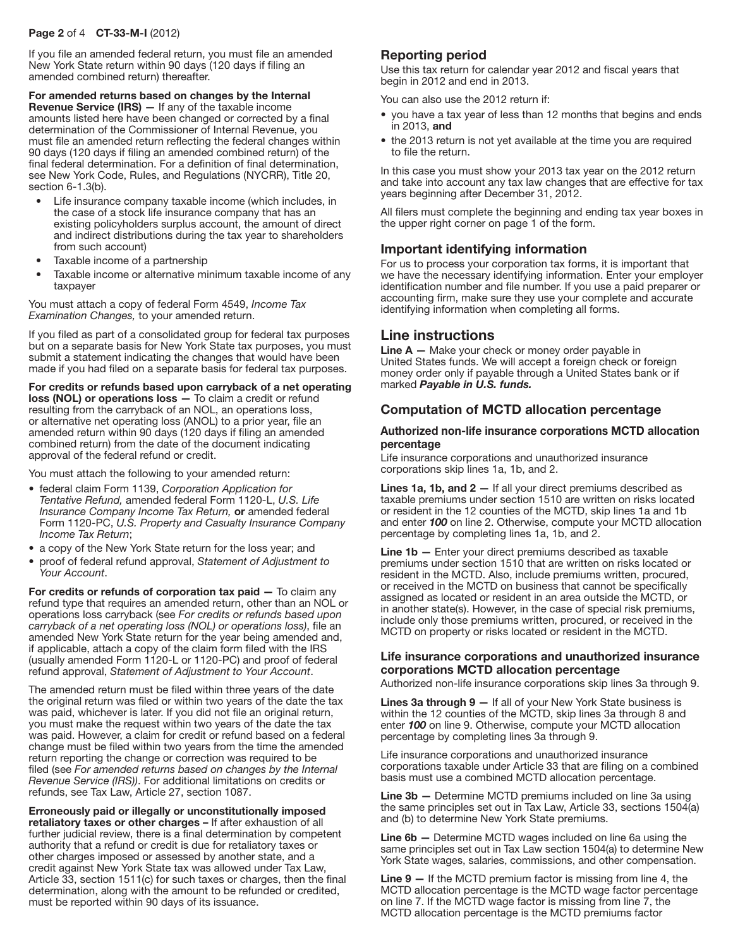#### Page 2 of 4 CT-33-M-I (2012)

If you file an amended federal return, you must file an amended New York State return within 90 days (120 days if filing an amended combined return) thereafter.

For amended returns based on changes by the Internal Revenue Service (IRS) — If any of the taxable income amounts listed here have been changed or corrected by a final determination of the Commissioner of Internal Revenue, you must file an amended return reflecting the federal changes within 90 days (120 days if filing an amended combined return) of the final federal determination. For a definition of final determination, see New York Code, Rules, and Regulations (NYCRR), Title 20, section 6-1.3(b).

- Life insurance company taxable income (which includes, in the case of a stock life insurance company that has an existing policyholders surplus account, the amount of direct and indirect distributions during the tax year to shareholders from such account)
- Taxable income of a partnership
- Taxable income or alternative minimum taxable income of any taxpayer

You must attach a copy of federal Form 4549, *Income Tax Examination Changes,* to your amended return.

If you filed as part of a consolidated group for federal tax purposes but on a separate basis for New York State tax purposes, you must submit a statement indicating the changes that would have been made if you had filed on a separate basis for federal tax purposes.

For credits or refunds based upon carryback of a net operating loss (NOL) or operations loss — To claim a credit or refund resulting from the carryback of an NOL, an operations loss, or alternative net operating loss (ANOL) to a prior year, file an amended return within 90 days (120 days if filing an amended combined return) from the date of the document indicating approval of the federal refund or credit.

You must attach the following to your amended return:

- federal claim Form 1139, *Corporation Application for Tentative Refund,* amended federal Form 1120-L, *U.S. Life Insurance Company Income Tax Return,* or amended federal Form 1120-PC, *U.S. Property and Casualty Insurance Company Income Tax Return*;
- a copy of the New York State return for the loss year; and
- proof of federal refund approval, *Statement of Adjustment to Your Account*.

For credits or refunds of corporation tax paid — To claim any refund type that requires an amended return, other than an NOL or operations loss carryback (see *For credits or refunds based upon carryback of a net operating loss (NOL) or operations loss)*, file an amended New York State return for the year being amended and, if applicable, attach a copy of the claim form filed with the IRS (usually amended Form 1120-L or 1120-PC) and proof of federal refund approval, *Statement of Adjustment to Your Account*.

The amended return must be filed within three years of the date the original return was filed or within two years of the date the tax was paid, whichever is later. If you did not file an original return, you must make the request within two years of the date the tax was paid. However, a claim for credit or refund based on a federal change must be filed within two years from the time the amended return reporting the change or correction was required to be filed (see *For amended returns based on changes by the Internal Revenue Service (IRS))*. For additional limitations on credits or refunds, see Tax Law, Article 27, section 1087.

Erroneously paid or illegally or unconstitutionally imposed retaliatory taxes or other charges – If after exhaustion of all further judicial review, there is a final determination by competent authority that a refund or credit is due for retaliatory taxes or other charges imposed or assessed by another state, and a credit against New York State tax was allowed under Tax Law, Article 33, section 1511(c) for such taxes or charges, then the final determination, along with the amount to be refunded or credited, must be reported within 90 days of its issuance.

# Reporting period

Use this tax return for calendar year 2012 and fiscal years that begin in 2012 and end in 2013.

You can also use the 2012 return if:

- you have a tax year of less than 12 months that begins and ends in 2013, and
- the 2013 return is not yet available at the time you are required to file the return.

In this case you must show your 2013 tax year on the 2012 return and take into account any tax law changes that are effective for tax years beginning after December 31, 2012.

All filers must complete the beginning and ending tax year boxes in the upper right corner on page 1 of the form.

### Important identifying information

For us to process your corporation tax forms, it is important that we have the necessary identifying information. Enter your employer identification number and file number. If you use a paid preparer or accounting firm, make sure they use your complete and accurate identifying information when completing all forms.

### Line instructions

**Line**  $A$   $-$  Make your check or money order payable in United States funds. We will accept a foreign check or foreign money order only if payable through a United States bank or if marked *Payable in U.S. funds.*

### Computation of MCTD allocation percentage

#### Authorized non-life insurance corporations MCTD allocation percentage

Life insurance corporations and unauthorized insurance corporations skip lines 1a, 1b, and 2.

Lines 1a, 1b, and 2 - If all your direct premiums described as taxable premiums under section 1510 are written on risks located or resident in the 12 counties of the MCTD, skip lines 1a and 1b and enter *100* on line 2. Otherwise, compute your MCTD allocation percentage by completing lines 1a, 1b, and 2.

Line 1b - Enter your direct premiums described as taxable premiums under section 1510 that are written on risks located or resident in the MCTD. Also, include premiums written, procured, or received in the MCTD on business that cannot be specifically assigned as located or resident in an area outside the MCTD, or in another state(s). However, in the case of special risk premiums, include only those premiums written, procured, or received in the MCTD on property or risks located or resident in the MCTD.

#### Life insurance corporations and unauthorized insurance corporations MCTD allocation percentage

Authorized non-life insurance corporations skip lines 3a through 9.

Lines 3a through 9 - If all of your New York State business is within the 12 counties of the MCTD, skip lines 3a through 8 and enter *100* on line 9. Otherwise, compute your MCTD allocation percentage by completing lines 3a through 9.

Life insurance corporations and unauthorized insurance corporations taxable under Article 33 that are filing on a combined basis must use a combined MCTD allocation percentage.

Line 3b — Determine MCTD premiums included on line 3a using the same principles set out in Tax Law, Article 33, sections 1504(a) and (b) to determine New York State premiums.

Line 6b — Determine MCTD wages included on line 6a using the same principles set out in Tax Law section 1504(a) to determine New York State wages, salaries, commissions, and other compensation.

Line 9 — If the MCTD premium factor is missing from line 4, the MCTD allocation percentage is the MCTD wage factor percentage on line 7. If the MCTD wage factor is missing from line 7, the MCTD allocation percentage is the MCTD premiums factor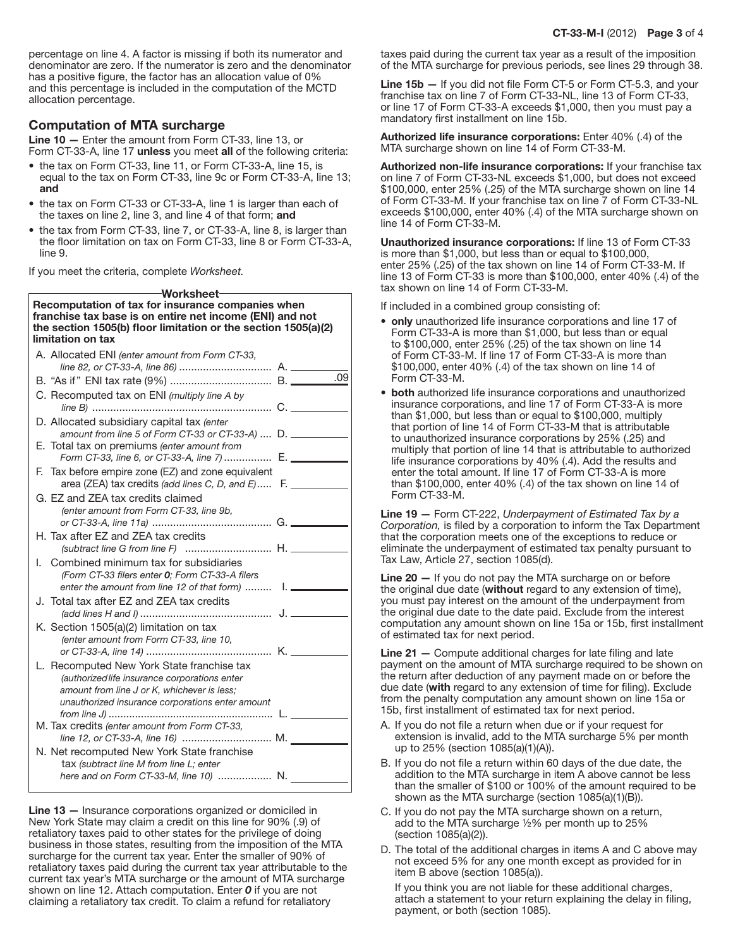percentage on line 4. A factor is missing if both its numerator and denominator are zero. If the numerator is zero and the denominator has a positive figure, the factor has an allocation value of 0% and this percentage is included in the computation of the MCTD allocation percentage.

### Computation of MTA surcharge

Line 10 – Enter the amount from Form CT-33, line 13, or Form CT-33-A, line 17 unless you meet all of the following criteria:

- the tax on Form CT-33, line 11, or Form CT-33-A, line 15, is equal to the tax on Form CT‑33, line 9c or Form CT‑33‑A, line 13; and
- the tax on Form CT-33 or CT-33-A, line 1 is larger than each of the taxes on line 2, line 3, and line 4 of that form; and
- the tax from Form CT-33, line 7, or CT-33-A, line 8, is larger than the floor limitation on tax on Form CT‑33, line 8 or Form CT‑33‑A, line 9.

If you meet the criteria, complete *Worksheet.*

| Worksheet-                                                                                                                                                                                           |     |
|------------------------------------------------------------------------------------------------------------------------------------------------------------------------------------------------------|-----|
| Recomputation of tax for insurance companies when<br>franchise tax base is on entire net income (ENI) and not<br>the section 1505(b) floor limitation or the section 1505(a)(2)<br>limitation on tax |     |
| A. Allocated ENI (enter amount from Form CT-33,                                                                                                                                                      |     |
|                                                                                                                                                                                                      |     |
|                                                                                                                                                                                                      | .09 |
| C. Recomputed tax on ENI (multiply line A by                                                                                                                                                         |     |
| D. Allocated subsidiary capital tax (enter<br>amount from line 5 of Form CT-33 or CT-33-A)  D.                                                                                                       |     |
| E. Total tax on premiums (enter amount from<br>Form CT-33, line 6, or CT-33-A, line 7)  E.                                                                                                           |     |
| F. Tax before empire zone (EZ) and zone equivalent<br>area (ZEA) tax credits (add lines C, D, and E) F.                                                                                              |     |
| G. EZ and ZEA tax credits claimed<br>(enter amount from Form CT-33, line 9b,                                                                                                                         |     |
| H. Tax after EZ and ZEA tax credits<br>(subtract line G from line F)  H.                                                                                                                             |     |
| Combined minimum tax for subsidiaries<br>L.<br>(Form CT-33 filers enter 0: Form CT-33-A filers<br>enter the amount from line 12 of that form)  1.                                                    |     |
| J. Total tax after EZ and ZEA tax credits                                                                                                                                                            |     |
| K. Section 1505(a)(2) limitation on tax<br>(enter amount from Form CT-33, line 10,                                                                                                                   |     |
| L. Recomputed New York State franchise tax<br>(authorized life insurance corporations enter<br>amount from line J or K, whichever is less;<br>unauthorized insurance corporations enter amount       |     |
| M. Tax credits (enter amount from Form CT-33,<br>line 12, or CT-33-A, line 16)  M.                                                                                                                   |     |
| N. Net recomputed New York State franchise<br>tax (subtract line M from line L; enter                                                                                                                |     |
| here and on Form CT-33-M, line 10)  N.                                                                                                                                                               |     |

Line 13 – Insurance corporations organized or domiciled in New York State may claim a credit on this line for 90% (.9) of retaliatory taxes paid to other states for the privilege of doing business in those states, resulting from the imposition of the MTA surcharge for the current tax year. Enter the smaller of 90% of retaliatory taxes paid during the current tax year attributable to the current tax year's MTA surcharge or the amount of MTA surcharge shown on line 12. Attach computation. Enter *0* if you are not claiming a retaliatory tax credit. To claim a refund for retaliatory

taxes paid during the current tax year as a result of the imposition of the MTA surcharge for previous periods, see lines 29 through 38.

Line 15b - If you did not file Form CT-5 or Form CT-5.3, and your franchise tax on line 7 of Form CT‑33-NL, line 13 of Form CT-33, or line 17 of Form CT-33-A exceeds \$1,000, then you must pay a mandatory first installment on line 15b.

Authorized life insurance corporations: Enter 40% (.4) of the MTA surcharge shown on line 14 of Form CT‑33-M.

Authorized non-life insurance corporations: If your franchise tax on line 7 of Form CT-33-NL exceeds \$1,000, but does not exceed \$100,000, enter 25% (.25) of the MTA surcharge shown on line 14 of Form CT-33-M. If your franchise tax on line 7 of Form CT-33-NL exceeds \$100,000, enter 40% (.4) of the MTA surcharge shown on line 14 of Form CT-33-M.

Unauthorized insurance corporations: If line 13 of Form CT-33 is more than \$1,000, but less than or equal to \$100,000, enter 25% (.25) of the tax shown on line 14 of Form CT-33-M. If line 13 of Form CT-33 is more than \$100,000, enter 40% (.4) of the tax shown on line 14 of Form CT-33-M.

If included in a combined group consisting of:

- only unauthorized life insurance corporations and line 17 of Form CT-33-A is more than \$1,000, but less than or equal to \$100,000, enter 25% (.25) of the tax shown on line 14 of Form CT-33-M. If line 17 of Form CT-33-A is more than \$100,000, enter 40% (.4) of the tax shown on line 14 of Form CT-33-M.
- both authorized life insurance corporations and unauthorized insurance corporations, and line 17 of Form CT-33-A is more than \$1,000, but less than or equal to \$100,000, multiply that portion of line 14 of Form CT-33-M that is attributable to unauthorized insurance corporations by 25% (.25) and multiply that portion of line 14 that is attributable to authorized life insurance corporations by 40% (.4). Add the results and enter the total amount. If line 17 of Form CT-33-A is more than \$100,000, enter 40% (.4) of the tax shown on line 14 of Form CT-33-M.

Line 19 — Form CT-222, *Underpayment of Estimated Tax by a Corporation,* is filed by a corporation to inform the Tax Department that the corporation meets one of the exceptions to reduce or eliminate the underpayment of estimated tax penalty pursuant to Tax Law, Article 27, section 1085(d).

Line 20 – If you do not pay the MTA surcharge on or before the original due date (without regard to any extension of time), you must pay interest on the amount of the underpayment from the original due date to the date paid. Exclude from the interest computation any amount shown on line 15a or 15b, first installment of estimated tax for next period.

Line 21 — Compute additional charges for late filing and late payment on the amount of MTA surcharge required to be shown on the return after deduction of any payment made on or before the due date (with regard to any extension of time for filing). Exclude from the penalty computation any amount shown on line 15a or 15b, first installment of estimated tax for next period.

- A. If you do not file a return when due or if your request for extension is invalid, add to the MTA surcharge 5% per month up to 25% (section 1085(a)(1)(A)).
- B. If you do not file a return within 60 days of the due date, the addition to the MTA surcharge in item A above cannot be less than the smaller of \$100 or 100% of the amount required to be shown as the MTA surcharge (section 1085(a)(1)(B)).
- C. If you do not pay the MTA surcharge shown on a return, add to the MTA surcharge ½% per month up to 25% (section 1085(a)(2)).
- D. The total of the additional charges in items A and C above may not exceed 5% for any one month except as provided for in item B above (section 1085(a)).

If you think you are not liable for these additional charges, attach a statement to your return explaining the delay in filing, payment, or both (section 1085).